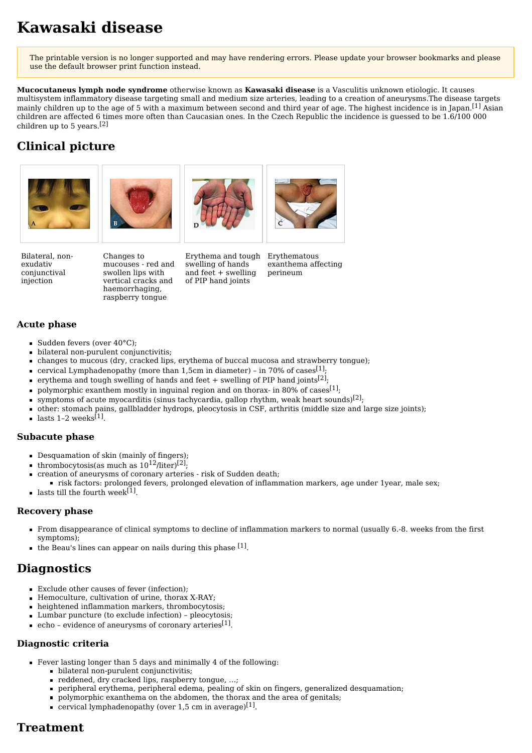# **Kawasaki disease**

The printable version is no longer supported and may have rendering errors. Please update your browser bookmarks and please use the default browser print function instead.

**Mucocutaneus lymph node syndrome** otherwise known as **Kawasaki disease** is a [Vasculitis](https://www.wikilectures.eu/index.php?title=Vasculitis&action=edit&redlink=1) unknown etiologic. It causes multisystem inflammatory disease targeting small and medium size arteries, leading to a creation of [aneurysms.](https://www.wikilectures.eu/w/Aneurysm)The disease targets mainly children up to the age of 5 with a maximum between second and third year of age. The highest [incidence](https://www.wikilectures.eu/w/Incidence) is in Japan.<sup>[\[1\]](https://www.wikilectures.eu/index.php?curid=10852&printable=yes#cite_note-Nelson-1)</sup> Asian children are affected 6 times more often than Caucasian ones. In the Czech Republic the incidence is guessed to be 1.6/100 000 children up to 5 years. [\[2\]](https://www.wikilectures.eu/index.php?curid=10852&printable=yes#cite_note-ppp-2)

# **Clinical picture**









Bilateral, nonexudativ conjunctival injection

Changes to mucouses - red and swollen lips with vertical cracks and haemorrhaging, raspberry tongue

Erythema and tough swelling of hands and feet + swelling of PIP hand joints

Erythematous exanthema affecting perineum

#### **Acute phase**

- Sudden [fevers](https://www.wikilectures.eu/w/Fever_(pediatrics)) (over 40°C);
- bilateral non-purulent conjunctivitis;
- changes to mucous (dry, cracked lips, erythema of buccal mucosa and strawberry tongue);
- cervical [Lymphadenopathy](https://www.wikilectures.eu/w/Lymphadenopathy) (more than 1,5cm in diameter) in 70% of cases ${}^{[1]},$  ${}^{[1]},$  ${}^{[1]},$
- erythema and tough swelling of hands and feet  $+$  swelling of PIP hand joints $^{[2]}$  $^{[2]}$  $^{[2]}$ ;
- polymorphic exanthem mostly in inguinal region and on thorax- in 80% of cases  $^{[1]}$  $^{[1]}$  $^{[1]}$ ;
- symptoms of acute [myocarditis](https://www.wikilectures.eu/w/Myocarditis) (sinus [tachycardia,](https://www.wikilectures.eu/w/Tachycardia) gallop rhythm, weak heart [sounds\)](https://www.wikilectures.eu/w/Heart_sounds)<sup>[\[2\]](https://www.wikilectures.eu/index.php?curid=10852&printable=yes#cite_note-ppp-2)</sup>;
- other: stomach pains, gallbladder hydrops, pleocytosis in [CSF,](https://www.wikilectures.eu/w/Cerebrospinal_Fluid) arthritis (middle size and large size joints);
- lasts 1-2 weeks<sup>[\[1\]](https://www.wikilectures.eu/index.php?curid=10852&printable=yes#cite_note-Nelson-1)</sup>.

#### **Subacute phase**

- Desquamation of skin (mainly of fingers);
- thrombocytosis(as much as  $10^{12}$ /liter)<sup>[\[2\]](https://www.wikilectures.eu/index.php?curid=10852&printable=yes#cite_note-ppp-2)</sup>;
- creation of aneurysms of coronary arteries risk of [Sudden](https://www.wikilectures.eu/index.php?title=Sudden_death&action=edit&redlink=1) death;
- risk factors: prolonged fevers, prolonged elevation of inflammation markers, age under 1year, male sex;
- lasts till the fourth week<sup>[\[1\]](https://www.wikilectures.eu/index.php?curid=10852&printable=yes#cite_note-Nelson-1)</sup>.

#### **Recovery phase**

- From disappearance of clinical symptoms to decline of inflammation markers to normal (usually 6.-8. weeks from the first symptoms);
- the Beau's lines can appear on nails during this phase <sup>[\[1\]](https://www.wikilectures.eu/index.php?curid=10852&printable=yes#cite_note-Nelson-1)</sup>.

### **Diagnostics**

- Exclude other causes of fever (infection);
- [Hemoculture](https://www.wikilectures.eu/index.php?title=Hemoculture&action=edit&redlink=1), cultivation of urine, thorax [X-RAY](https://www.wikilectures.eu/w/X-RAY);
- heightened inflammation markers, thrombocytosis;
- Lumbar [puncture](https://www.wikilectures.eu/w/Lumbar_Puncture) (to exclude infection) pleocytosis;
- echo evidence of aneurysms of coronary arteries<sup>[\[1\]](https://www.wikilectures.eu/index.php?curid=10852&printable=yes#cite_note-Nelson-1)</sup>.

#### **Diagnostic criteria**

- Fever lasting longer than 5 days and minimally 4 of the following:
	- bilateral non-purulent conjunctivitis;
	- reddened, dry cracked lips, raspberry tongue, ...;
	- peripheral erythema, peripheral [edema,](https://www.wikilectures.eu/w/Edema) pealing of skin on fingers, generalized desquamation;
	- $\blacksquare$ polymorphic exanthema on the abdomen, the thorax and the area of genitals;
	- cervical lymphadenopathy (over 1,5 cm in average)<sup>[\[1\]](https://www.wikilectures.eu/index.php?curid=10852&printable=yes#cite_note-Nelson-1)</sup>.

# **Treatment**